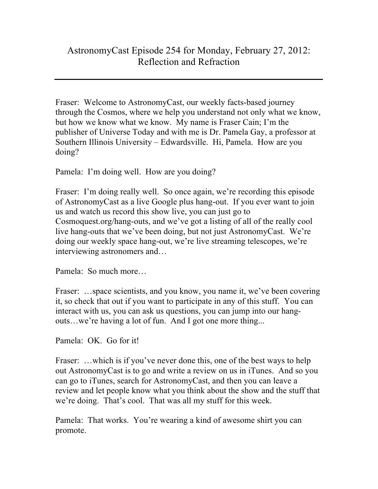## AstronomyCast Episode 254 for Monday, February 27, 2012: Reflection and Refraction

Fraser: Welcome to AstronomyCast, our weekly facts-based journey through the Cosmos, where we help you understand not only what we know, but how we know what we know. My name is Fraser Cain; I'm the publisher of Universe Today and with me is Dr. Pamela Gay, a professor at Southern Illinois University – Edwardsville. Hi, Pamela. How are you doing?

Pamela: I'm doing well. How are you doing?

Fraser: I'm doing really well. So once again, we're recording this episode of AstronomyCast as a live Google plus hang-out. If you ever want to join us and watch us record this show live, you can just go to Cosmoquest.org/hang-outs, and we've got a listing of all of the really cool live hang-outs that we've been doing, but not just AstronomyCast. We're doing our weekly space hang-out, we're live streaming telescopes, we're interviewing astronomers and…

Pamela: So much more…

Fraser: ...space scientists, and you know, you name it, we've been covering it, so check that out if you want to participate in any of this stuff. You can interact with us, you can ask us questions, you can jump into our hangouts…we're having a lot of fun. And I got one more thing...

Pamela: OK. Go for it!

Fraser: ...which is if you've never done this, one of the best ways to help out AstronomyCast is to go and write a review on us in iTunes. And so you can go to iTunes, search for AstronomyCast, and then you can leave a review and let people know what you think about the show and the stuff that we're doing. That's cool. That was all my stuff for this week.

Pamela: That works. You're wearing a kind of awesome shirt you can promote.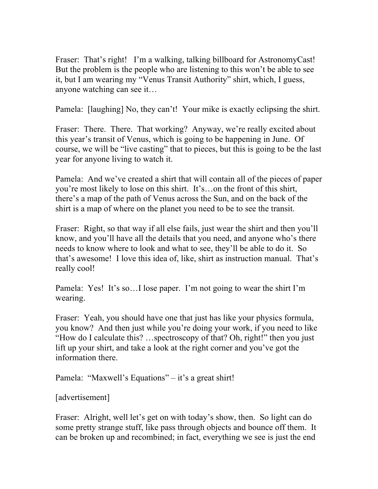Fraser: That's right! I'm a walking, talking billboard for AstronomyCast! But the problem is the people who are listening to this won't be able to see it, but I am wearing my "Venus Transit Authority" shirt, which, I guess, anyone watching can see it…

Pamela: [laughing] No, they can't! Your mike is exactly eclipsing the shirt.

Fraser: There. There. That working? Anyway, we're really excited about this year's transit of Venus, which is going to be happening in June. Of course, we will be "live casting" that to pieces, but this is going to be the last year for anyone living to watch it.

Pamela: And we've created a shirt that will contain all of the pieces of paper you're most likely to lose on this shirt. It's…on the front of this shirt, there's a map of the path of Venus across the Sun, and on the back of the shirt is a map of where on the planet you need to be to see the transit.

Fraser: Right, so that way if all else fails, just wear the shirt and then you'll know, and you'll have all the details that you need, and anyone who's there needs to know where to look and what to see, they'll be able to do it. So that's awesome! I love this idea of, like, shirt as instruction manual. That's really cool!

Pamela: Yes! It's so…I lose paper. I'm not going to wear the shirt I'm wearing.

Fraser: Yeah, you should have one that just has like your physics formula, you know? And then just while you're doing your work, if you need to like "How do I calculate this? …spectroscopy of that? Oh, right!" then you just lift up your shirt, and take a look at the right corner and you've got the information there.

Pamela: "Maxwell's Equations" – it's a great shirt!

[advertisement]

Fraser: Alright, well let's get on with today's show, then. So light can do some pretty strange stuff, like pass through objects and bounce off them. It can be broken up and recombined; in fact, everything we see is just the end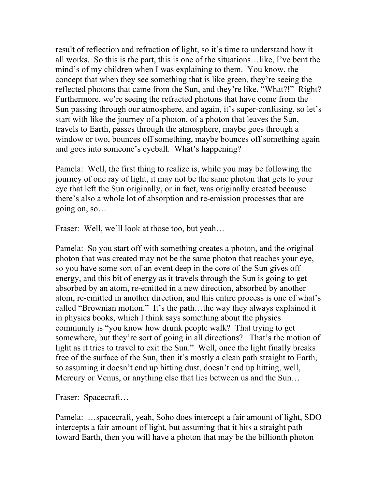result of reflection and refraction of light, so it's time to understand how it all works. So this is the part, this is one of the situations…like, I've bent the mind's of my children when I was explaining to them. You know, the concept that when they see something that is like green, they're seeing the reflected photons that came from the Sun, and they're like, "What?!" Right? Furthermore, we're seeing the refracted photons that have come from the Sun passing through our atmosphere, and again, it's super-confusing, so let's start with like the journey of a photon, of a photon that leaves the Sun, travels to Earth, passes through the atmosphere, maybe goes through a window or two, bounces off something, maybe bounces off something again and goes into someone's eyeball. What's happening?

Pamela: Well, the first thing to realize is, while you may be following the journey of one ray of light, it may not be the same photon that gets to your eye that left the Sun originally, or in fact, was originally created because there's also a whole lot of absorption and re-emission processes that are going on, so…

Fraser: Well, we'll look at those too, but yeah...

Pamela: So you start off with something creates a photon, and the original photon that was created may not be the same photon that reaches your eye, so you have some sort of an event deep in the core of the Sun gives off energy, and this bit of energy as it travels through the Sun is going to get absorbed by an atom, re-emitted in a new direction, absorbed by another atom, re-emitted in another direction, and this entire process is one of what's called "Brownian motion." It's the path…the way they always explained it in physics books, which I think says something about the physics community is "you know how drunk people walk? That trying to get somewhere, but they're sort of going in all directions? That's the motion of light as it tries to travel to exit the Sun." Well, once the light finally breaks free of the surface of the Sun, then it's mostly a clean path straight to Earth, so assuming it doesn't end up hitting dust, doesn't end up hitting, well, Mercury or Venus, or anything else that lies between us and the Sun…

Fraser: Spacecraft…

Pamela: …spacecraft, yeah, Soho does intercept a fair amount of light, SDO intercepts a fair amount of light, but assuming that it hits a straight path toward Earth, then you will have a photon that may be the billionth photon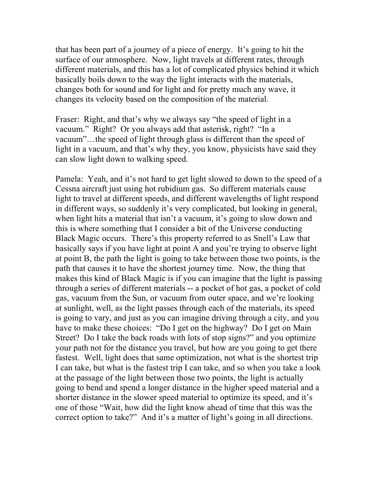that has been part of a journey of a piece of energy. It's going to hit the surface of our atmosphere. Now, light travels at different rates, through different materials, and this has a lot of complicated physics behind it which basically boils down to the way the light interacts with the materials, changes both for sound and for light and for pretty much any wave, it changes its velocity based on the composition of the material.

Fraser: Right, and that's why we always say "the speed of light in a vacuum." Right? Or you always add that asterisk, right? "In a vacuum"…the speed of light through glass is different than the speed of light in a vacuum, and that's why they, you know, physicists have said they can slow light down to walking speed.

Pamela: Yeah, and it's not hard to get light slowed to down to the speed of a Cessna aircraft just using hot rubidium gas. So different materials cause light to travel at different speeds, and different wavelengths of light respond in different ways, so suddenly it's very complicated, but looking in general, when light hits a material that isn't a vacuum, it's going to slow down and this is where something that I consider a bit of the Universe conducting Black Magic occurs. There's this property referred to as Snell's Law that basically says if you have light at point A and you're trying to observe light at point B, the path the light is going to take between those two points, is the path that causes it to have the shortest journey time. Now, the thing that makes this kind of Black Magic is if you can imagine that the light is passing through a series of different materials -- a pocket of hot gas, a pocket of cold gas, vacuum from the Sun, or vacuum from outer space, and we're looking at sunlight, well, as the light passes through each of the materials, its speed is going to vary, and just as you can imagine driving through a city, and you have to make these choices: "Do I get on the highway? Do I get on Main Street? Do I take the back roads with lots of stop signs?" and you optimize your path not for the distance you travel, but how are you going to get there fastest. Well, light does that same optimization, not what is the shortest trip I can take, but what is the fastest trip I can take, and so when you take a look at the passage of the light between those two points, the light is actually going to bend and spend a longer distance in the higher speed material and a shorter distance in the slower speed material to optimize its speed, and it's one of those "Wait, how did the light know ahead of time that this was the correct option to take?" And it's a matter of light's going in all directions.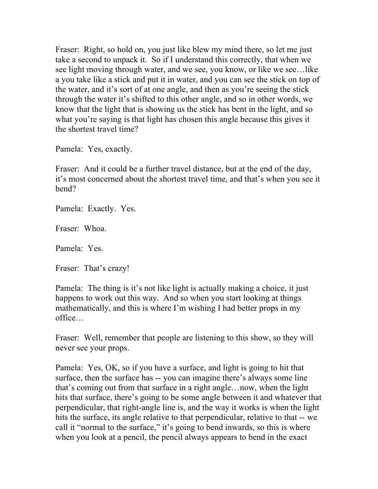Fraser: Right, so hold on, you just like blew my mind there, so let me just take a second to unpack it. So if I understand this correctly, that when we see light moving through water, and we see, you know, or like we see…like a you take like a stick and put it in water, and you can see the stick on top of the water, and it's sort of at one angle, and then as you're seeing the stick through the water it's shifted to this other angle, and so in other words, we know that the light that is showing us the stick has bent in the light, and so what you're saying is that light has chosen this angle because this gives it the shortest travel time?

Pamela: Yes, exactly.

Fraser: And it could be a further travel distance, but at the end of the day, it's most concerned about the shortest travel time, and that's when you see it bend?

Pamela: Exactly. Yes.

Fraser: Whoa.

Pamela: Yes.

Fraser: That's crazy!

Pamela: The thing is it's not like light is actually making a choice, it just happens to work out this way. And so when you start looking at things mathematically, and this is where I'm wishing I had better props in my office…

Fraser: Well, remember that people are listening to this show, so they will never see your props.

Pamela: Yes, OK, so if you have a surface, and light is going to hit that surface, then the surface has -- you can imagine there's always some line that's coming out from that surface in a right angle…now, when the light hits that surface, there's going to be some angle between it and whatever that perpendicular, that right-angle line is, and the way it works is when the light hits the surface, its angle relative to that perpendicular, relative to that -- we call it "normal to the surface," it's going to bend inwards, so this is where when you look at a pencil, the pencil always appears to bend in the exact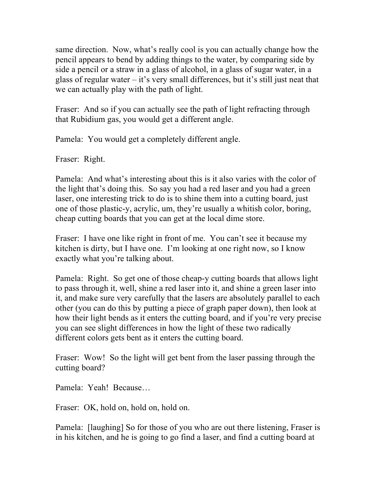same direction. Now, what's really cool is you can actually change how the pencil appears to bend by adding things to the water, by comparing side by side a pencil or a straw in a glass of alcohol, in a glass of sugar water, in a glass of regular water  $-$  it's very small differences, but it's still just neat that we can actually play with the path of light.

Fraser: And so if you can actually see the path of light refracting through that Rubidium gas, you would get a different angle.

Pamela: You would get a completely different angle.

Fraser: Right.

Pamela: And what's interesting about this is it also varies with the color of the light that's doing this. So say you had a red laser and you had a green laser, one interesting trick to do is to shine them into a cutting board, just one of those plastic-y, acrylic, um, they're usually a whitish color, boring, cheap cutting boards that you can get at the local dime store.

Fraser: I have one like right in front of me. You can't see it because my kitchen is dirty, but I have one. I'm looking at one right now, so I know exactly what you're talking about.

Pamela: Right. So get one of those cheap-y cutting boards that allows light to pass through it, well, shine a red laser into it, and shine a green laser into it, and make sure very carefully that the lasers are absolutely parallel to each other (you can do this by putting a piece of graph paper down), then look at how their light bends as it enters the cutting board, and if you're very precise you can see slight differences in how the light of these two radically different colors gets bent as it enters the cutting board.

Fraser: Wow! So the light will get bent from the laser passing through the cutting board?

Pamela: Yeah! Because…

Fraser: OK, hold on, hold on, hold on.

Pamela: [laughing] So for those of you who are out there listening, Fraser is in his kitchen, and he is going to go find a laser, and find a cutting board at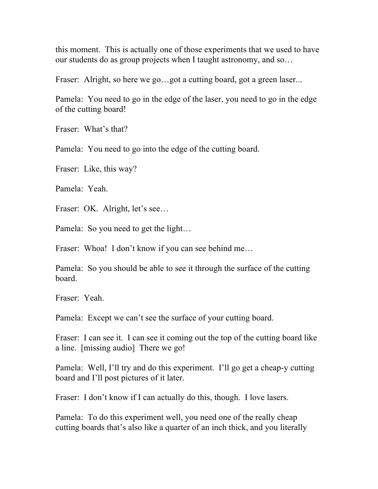this moment. This is actually one of those experiments that we used to have our students do as group projects when I taught astronomy, and so…

Fraser: Alright, so here we go…got a cutting board, got a green laser...

Pamela: You need to go in the edge of the laser, you need to go in the edge of the cutting board!

Fraser: What's that?

Pamela: You need to go into the edge of the cutting board.

Fraser: Like, this way?

Pamela: Yeah.

Fraser: OK. Alright, let's see…

Pamela: So you need to get the light...

Fraser: Whoa! I don't know if you can see behind me...

Pamela: So you should be able to see it through the surface of the cutting board.

Fraser: Yeah.

Pamela: Except we can't see the surface of your cutting board.

Fraser: I can see it. I can see it coming out the top of the cutting board like a line. [missing audio] There we go!

Pamela: Well, I'll try and do this experiment. I'll go get a cheap-y cutting board and I'll post pictures of it later.

Fraser: I don't know if I can actually do this, though. I love lasers.

Pamela: To do this experiment well, you need one of the really cheap cutting boards that's also like a quarter of an inch thick, and you literally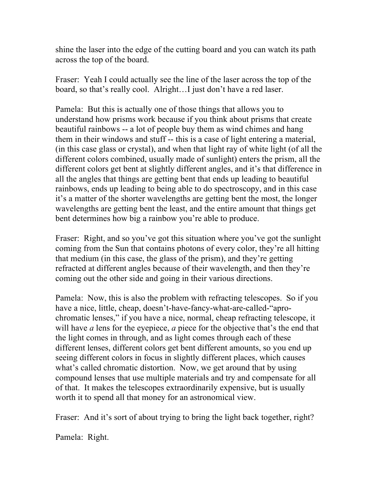shine the laser into the edge of the cutting board and you can watch its path across the top of the board.

Fraser: Yeah I could actually see the line of the laser across the top of the board, so that's really cool. Alright…I just don't have a red laser.

Pamela: But this is actually one of those things that allows you to understand how prisms work because if you think about prisms that create beautiful rainbows -- a lot of people buy them as wind chimes and hang them in their windows and stuff -- this is a case of light entering a material, (in this case glass or crystal), and when that light ray of white light (of all the different colors combined, usually made of sunlight) enters the prism, all the different colors get bent at slightly different angles, and it's that difference in all the angles that things are getting bent that ends up leading to beautiful rainbows, ends up leading to being able to do spectroscopy, and in this case it's a matter of the shorter wavelengths are getting bent the most, the longer wavelengths are getting bent the least, and the entire amount that things get bent determines how big a rainbow you're able to produce.

Fraser: Right, and so you've got this situation where you've got the sunlight coming from the Sun that contains photons of every color, they're all hitting that medium (in this case, the glass of the prism), and they're getting refracted at different angles because of their wavelength, and then they're coming out the other side and going in their various directions.

Pamela: Now, this is also the problem with refracting telescopes. So if you have a nice, little, cheap, doesn't-have-fancy-what-are-called-"aprochromatic lenses," if you have a nice, normal, cheap refracting telescope, it will have *a* lens for the eyepiece, *a* piece for the objective that's the end that the light comes in through, and as light comes through each of these different lenses, different colors get bent different amounts, so you end up seeing different colors in focus in slightly different places, which causes what's called chromatic distortion. Now, we get around that by using compound lenses that use multiple materials and try and compensate for all of that. It makes the telescopes extraordinarily expensive, but is usually worth it to spend all that money for an astronomical view.

Fraser: And it's sort of about trying to bring the light back together, right?

Pamela: Right.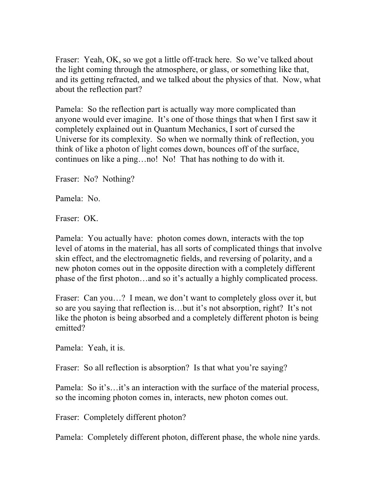Fraser: Yeah, OK, so we got a little off-track here. So we've talked about the light coming through the atmosphere, or glass, or something like that, and its getting refracted, and we talked about the physics of that. Now, what about the reflection part?

Pamela: So the reflection part is actually way more complicated than anyone would ever imagine. It's one of those things that when I first saw it completely explained out in Quantum Mechanics, I sort of cursed the Universe for its complexity. So when we normally think of reflection, you think of like a photon of light comes down, bounces off of the surface, continues on like a ping…no! No! That has nothing to do with it.

Fraser: No? Nothing?

Pamela: No.

Fraser: OK.

Pamela: You actually have: photon comes down, interacts with the top level of atoms in the material, has all sorts of complicated things that involve skin effect, and the electromagnetic fields, and reversing of polarity, and a new photon comes out in the opposite direction with a completely different phase of the first photon…and so it's actually a highly complicated process.

Fraser: Can you...? I mean, we don't want to completely gloss over it, but so are you saying that reflection is…but it's not absorption, right? It's not like the photon is being absorbed and a completely different photon is being emitted?

Pamela: Yeah, it is.

Fraser: So all reflection is absorption? Is that what you're saying?

Pamela: So it's…it's an interaction with the surface of the material process, so the incoming photon comes in, interacts, new photon comes out.

Fraser: Completely different photon?

Pamela: Completely different photon, different phase, the whole nine yards.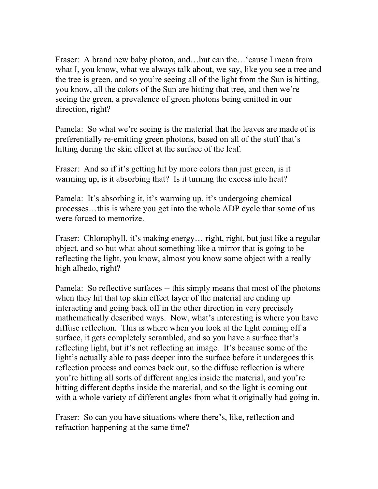Fraser: A brand new baby photon, and...but can the... 'cause I mean from what I, you know, what we always talk about, we say, like you see a tree and the tree is green, and so you're seeing all of the light from the Sun is hitting, you know, all the colors of the Sun are hitting that tree, and then we're seeing the green, a prevalence of green photons being emitted in our direction, right?

Pamela: So what we're seeing is the material that the leaves are made of is preferentially re-emitting green photons, based on all of the stuff that's hitting during the skin effect at the surface of the leaf.

Fraser: And so if it's getting hit by more colors than just green, is it warming up, is it absorbing that? Is it turning the excess into heat?

Pamela: It's absorbing it, it's warming up, it's undergoing chemical processes…this is where you get into the whole ADP cycle that some of us were forced to memorize.

Fraser: Chlorophyll, it's making energy… right, right, but just like a regular object, and so but what about something like a mirror that is going to be reflecting the light, you know, almost you know some object with a really high albedo, right?

Pamela: So reflective surfaces -- this simply means that most of the photons when they hit that top skin effect layer of the material are ending up interacting and going back off in the other direction in very precisely mathematically described ways. Now, what's interesting is where you have diffuse reflection. This is where when you look at the light coming off a surface, it gets completely scrambled, and so you have a surface that's reflecting light, but it's not reflecting an image. It's because some of the light's actually able to pass deeper into the surface before it undergoes this reflection process and comes back out, so the diffuse reflection is where you're hitting all sorts of different angles inside the material, and you're hitting different depths inside the material, and so the light is coming out with a whole variety of different angles from what it originally had going in.

Fraser: So can you have situations where there's, like, reflection and refraction happening at the same time?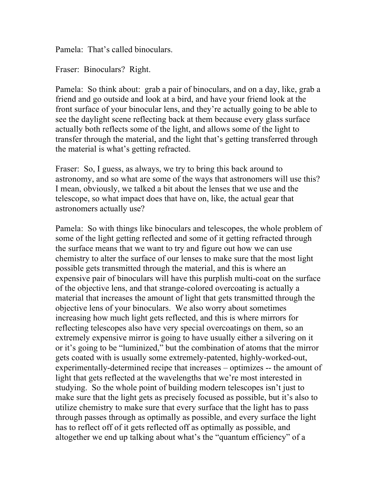Pamela: That's called binoculars.

Fraser: Binoculars? Right.

Pamela: So think about: grab a pair of binoculars, and on a day, like, grab a friend and go outside and look at a bird, and have your friend look at the front surface of your binocular lens, and they're actually going to be able to see the daylight scene reflecting back at them because every glass surface actually both reflects some of the light, and allows some of the light to transfer through the material, and the light that's getting transferred through the material is what's getting refracted.

Fraser: So, I guess, as always, we try to bring this back around to astronomy, and so what are some of the ways that astronomers will use this? I mean, obviously, we talked a bit about the lenses that we use and the telescope, so what impact does that have on, like, the actual gear that astronomers actually use?

Pamela: So with things like binoculars and telescopes, the whole problem of some of the light getting reflected and some of it getting refracted through the surface means that we want to try and figure out how we can use chemistry to alter the surface of our lenses to make sure that the most light possible gets transmitted through the material, and this is where an expensive pair of binoculars will have this purplish multi-coat on the surface of the objective lens, and that strange-colored overcoating is actually a material that increases the amount of light that gets transmitted through the objective lens of your binoculars. We also worry about sometimes increasing how much light gets reflected, and this is where mirrors for reflecting telescopes also have very special overcoatings on them, so an extremely expensive mirror is going to have usually either a silvering on it or it's going to be "luminized," but the combination of atoms that the mirror gets coated with is usually some extremely-patented, highly-worked-out, experimentally-determined recipe that increases – optimizes -- the amount of light that gets reflected at the wavelengths that we're most interested in studying. So the whole point of building modern telescopes isn't just to make sure that the light gets as precisely focused as possible, but it's also to utilize chemistry to make sure that every surface that the light has to pass through passes through as optimally as possible, and every surface the light has to reflect off of it gets reflected off as optimally as possible, and altogether we end up talking about what's the "quantum efficiency" of a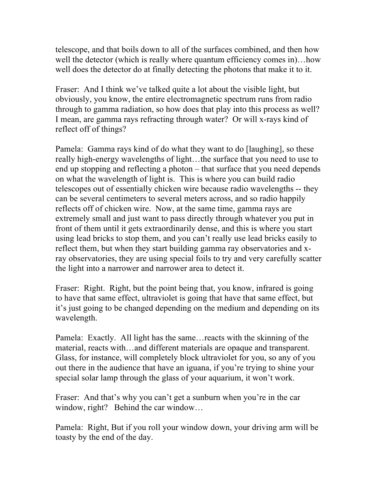telescope, and that boils down to all of the surfaces combined, and then how well the detector (which is really where quantum efficiency comes in)…how well does the detector do at finally detecting the photons that make it to it.

Fraser: And I think we've talked quite a lot about the visible light, but obviously, you know, the entire electromagnetic spectrum runs from radio through to gamma radiation, so how does that play into this process as well? I mean, are gamma rays refracting through water? Or will x-rays kind of reflect off of things?

Pamela: Gamma rays kind of do what they want to do [laughing], so these really high-energy wavelengths of light…the surface that you need to use to end up stopping and reflecting a photon – that surface that you need depends on what the wavelength of light is. This is where you can build radio telescopes out of essentially chicken wire because radio wavelengths -- they can be several centimeters to several meters across, and so radio happily reflects off of chicken wire. Now, at the same time, gamma rays are extremely small and just want to pass directly through whatever you put in front of them until it gets extraordinarily dense, and this is where you start using lead bricks to stop them, and you can't really use lead bricks easily to reflect them, but when they start building gamma ray observatories and xray observatories, they are using special foils to try and very carefully scatter the light into a narrower and narrower area to detect it.

Fraser: Right. Right, but the point being that, you know, infrared is going to have that same effect, ultraviolet is going that have that same effect, but it's just going to be changed depending on the medium and depending on its wavelength.

Pamela: Exactly. All light has the same…reacts with the skinning of the material, reacts with…and different materials are opaque and transparent. Glass, for instance, will completely block ultraviolet for you, so any of you out there in the audience that have an iguana, if you're trying to shine your special solar lamp through the glass of your aquarium, it won't work.

Fraser: And that's why you can't get a sunburn when you're in the car window, right? Behind the car window...

Pamela: Right, But if you roll your window down, your driving arm will be toasty by the end of the day.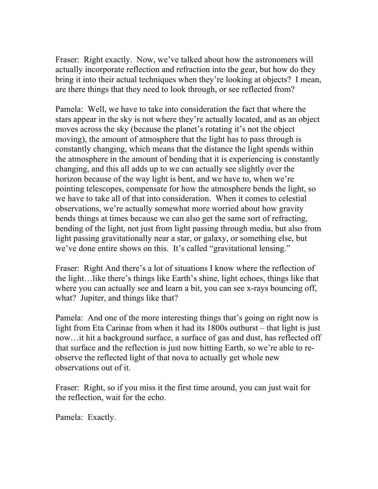Fraser: Right exactly. Now, we've talked about how the astronomers will actually incorporate reflection and refraction into the gear, but how do they bring it into their actual techniques when they're looking at objects? I mean, are there things that they need to look through, or see reflected from?

Pamela: Well, we have to take into consideration the fact that where the stars appear in the sky is not where they're actually located, and as an object moves across the sky (because the planet's rotating it's not the object moving), the amount of atmosphere that the light has to pass through is constantly changing, which means that the distance the light spends within the atmosphere in the amount of bending that it is experiencing is constantly changing, and this all adds up to we can actually see slightly over the horizon because of the way light is bent, and we have to, when we're pointing telescopes, compensate for how the atmosphere bends the light, so we have to take all of that into consideration. When it comes to celestial observations, we're actually somewhat more worried about how gravity bends things at times because we can also get the same sort of refracting, bending of the light, not just from light passing through media, but also from light passing gravitationally near a star, or galaxy, or something else, but we've done entire shows on this. It's called "gravitational lensing."

Fraser: Right And there's a lot of situations I know where the reflection of the light…like there's things like Earth's shine, light echoes, things like that where you can actually see and learn a bit, you can see x-rays bouncing off, what? Jupiter, and things like that?

Pamela: And one of the more interesting things that's going on right now is light from Eta Carinae from when it had its 1800s outburst – that light is just now…it hit a background surface, a surface of gas and dust, has reflected off that surface and the reflection is just now hitting Earth, so we're able to reobserve the reflected light of that nova to actually get whole new observations out of it.

Fraser: Right, so if you miss it the first time around, you can just wait for the reflection, wait for the echo.

Pamela: Exactly.